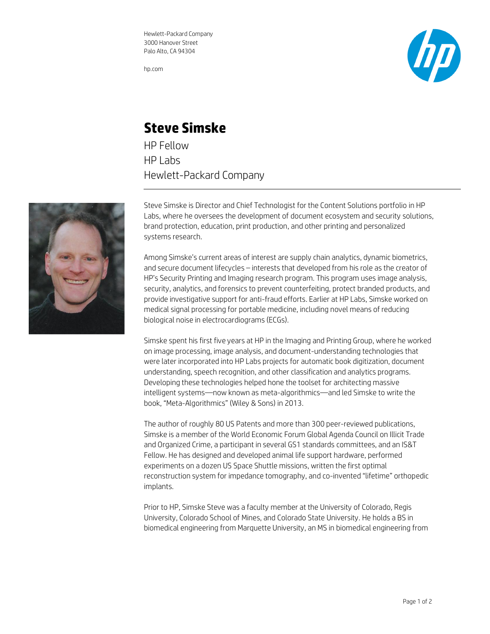Hewlett-Packard Company 3000 Hanover Street Palo Alto, CA 94304

hp.com



## **Steve Simske**

HP Fellow HP Labs Hewlett-Packard Company



Steve Simske is Director and Chief Technologist for the Content Solutions portfolio in HP Labs, where he oversees the development of document ecosystem and security solutions, brand protection, education, print production, and other printing and personalized systems research.

Among Simske's current areas of interest are supply chain analytics, dynamic biometrics, and secure document lifecycles – interests that developed from his role as the creator of HP's Security Printing and Imaging research program. This program uses image analysis, security, analytics, and forensics to prevent counterfeiting, protect branded products, and provide investigative support for anti-fraud efforts. Earlier at HP Labs, Simske worked on medical signal processing for portable medicine, including novel means of reducing biological noise in electrocardiograms (ECGs).

Simske spent his first five years at HP in the Imaging and Printing Group, where he worked on image processing, image analysis, and document-understanding technologies that were later incorporated into HP Labs projects for automatic book digitization, document understanding, speech recognition, and other classification and analytics programs. Developing these technologies helped hone the toolset for architecting massive intelligent systems—now known as meta-algorithmics—and led Simske to write the book, "Meta-Algorithmics" (Wiley & Sons) in 2013.

The author of roughly 80 US Patents and more than 300 peer-reviewed publications, Simske is a member of the World Economic Forum Global Agenda Council on Illicit Trade and Organized Crime, a participant in several GS1 standards committees, and an IS&T Fellow. He has designed and developed animal life support hardware, performed experiments on a dozen US Space Shuttle missions, written the first optimal reconstruction system for impedance tomography, and co-invented "lifetime" orthopedic implants.

Prior to HP, Simske Steve was a faculty member at the University of Colorado, Regis University, Colorado School of Mines, and Colorado State University. He holds a BS in biomedical engineering from Marquette University, an MS in biomedical engineering from